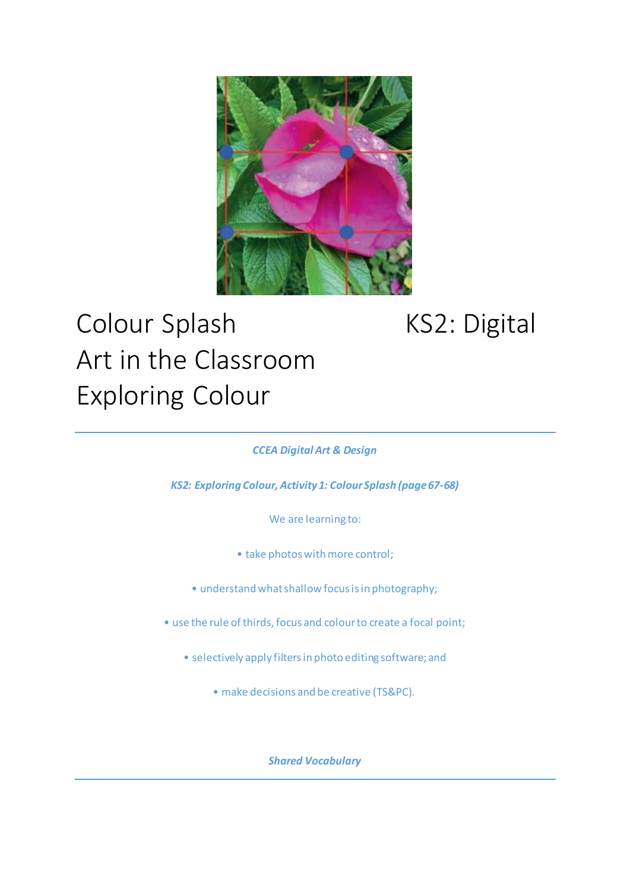

## Colour Splash KS2: Digital Art in the Classroom Exploring Colour

## *CCEA Digital Art & Design*

*KS2: Exploring Colour, Activity 1: Colour Splash (page 67-68)*

We are learning to:

- take photos with more control;
- understand what shallow focus is in photography;
- use the rule of thirds, focus and colour to create a focal point;
	- selectively apply filters in photo editing software; and
		- make decisions and be creative (TS&PC).

*Shared Vocabulary*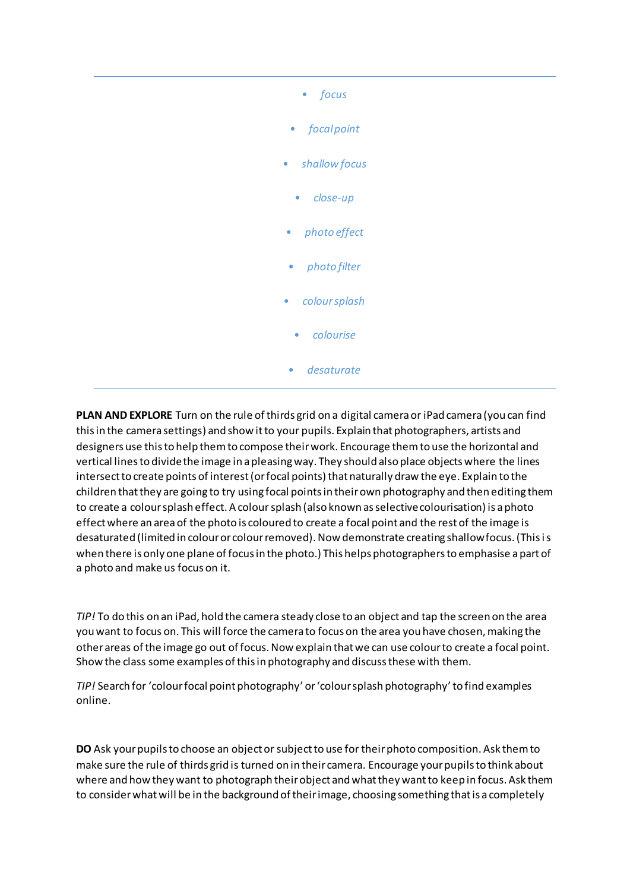

**PLAN AND EXPLORE** Turn on the rule of thirds grid on a digital camera or iPad camera (you can find this in the camera settings) and show it to your pupils. Explain that photographers, artists and designers use this to help them to compose their work. Encourage them to use the horizontal and vertical lines to divide the image in a pleasing way. They should also place objects where the lines intersect to create points of interest (or focal points) that naturally draw the eye. Explain to the children that they are going to try using focal points in their own photography and then editing them to create a colour splash effect. A coloursplash (also known as selective colourisation) is a photo effect where an area of the photo is coloured to create a focal point and the rest of the image is desaturated (limited in colour or colour removed). Now demonstrate creating shallow focus. (This is when there is only one plane of focus in the photo.) This helps photographers to emphasise a part of a photo and make us focus on it.

*TIP!* To do this on an iPad, hold the camera steady close to an object and tap the screen on the area you want to focus on. This will force the camera to focus on the area you have chosen, making the other areas of the image go out of focus. Now explain that we can use colour to create a focal point. Show the class some examples of this in photography and discuss these with them.

*TIP!* Search for 'colour focal point photography' or 'colour splash photography'to find examples online.

**DO** Ask your pupils to choose an object or subject to use for their photo composition. Ask them to make sure the rule of thirds grid is turned on in their camera. Encourage your pupils to think about where and how they want to photograph their object and what they want to keep in focus. Ask them to consider what will be in the background of their image, choosing something that is a completely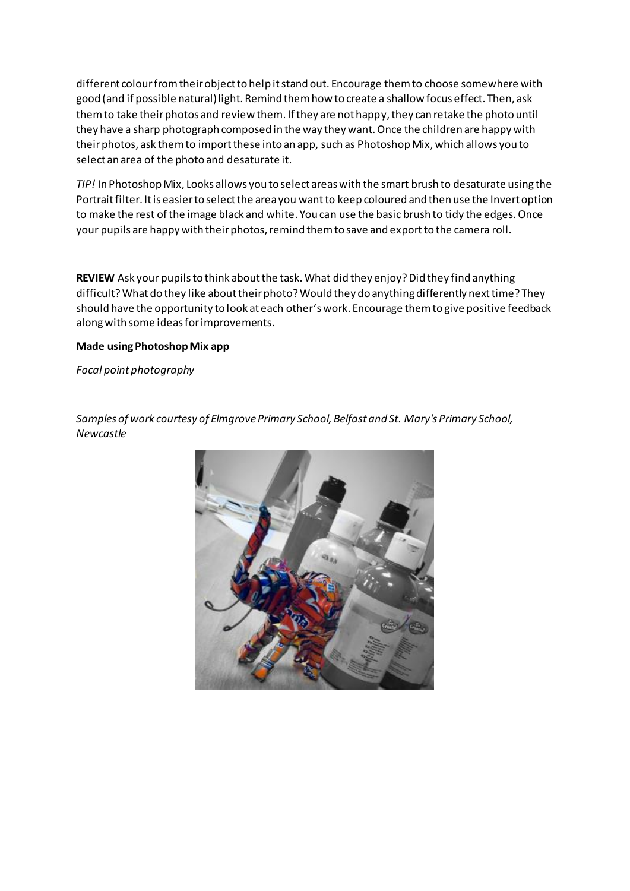different colour from their object to help it stand out. Encourage them to choose somewhere with good (and if possible natural) light. Remind them how to create a shallow focus effect. Then, ask them to take their photos and review them. If they are not happy, they can retake the photo until they have a sharp photograph composed in the way they want. Once the children are happy with their photos, ask them to import these into an app, such as Photoshop Mix, which allows you to select an area of the photo and desaturate it.

*TIP!* In Photoshop Mix, Looks allows you to select areas with the smart brush to desaturate using the Portrait filter. It is easier to select the area you want to keep coloured and then use the Invert option to make the rest of the image black and white. You can use the basic brush to tidy the edges. Once your pupils are happy with their photos, remind them to save and export to the camera roll.

**REVIEW** Ask your pupils to think about the task. What did they enjoy? Did they find anything difficult? What do they like about their photo? Would they do anything differently next time? They should have the opportunity to look at each other's work. Encourage them to give positive feedback along with some ideas for improvements.

## **Made using Photoshop Mix app**

*Focal point photography*

*Samples of work courtesy of Elmgrove Primary School, Belfast and St. Mary's Primary School, Newcastle*

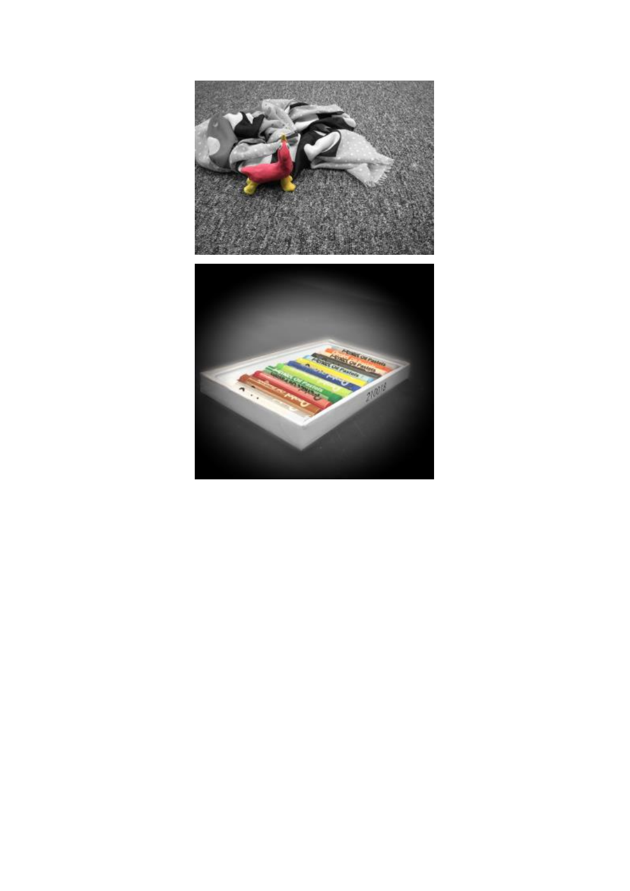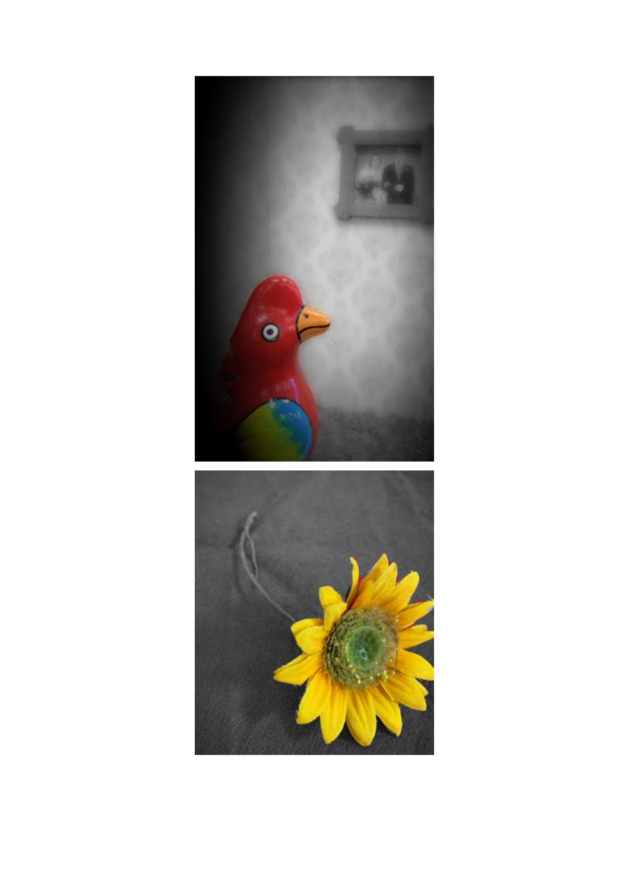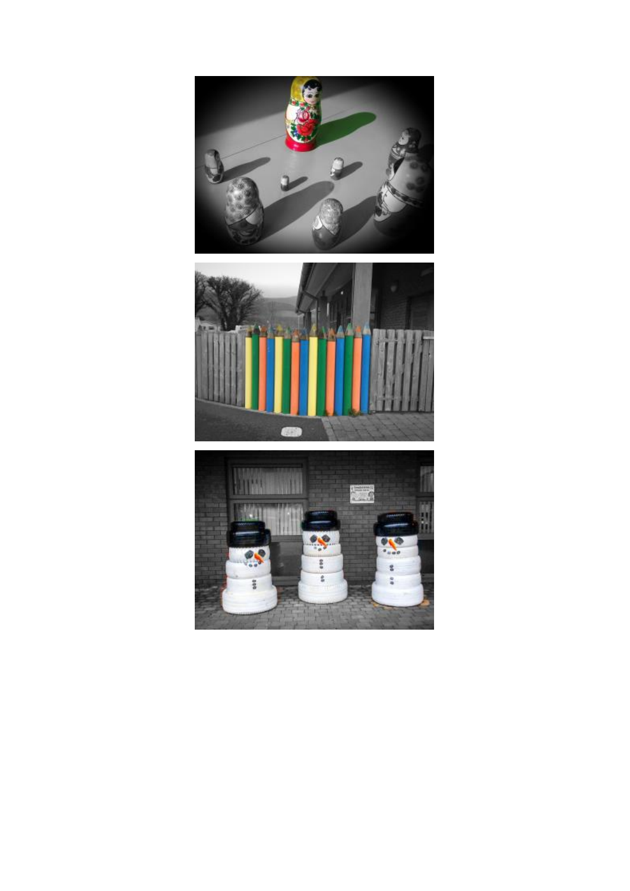

gao